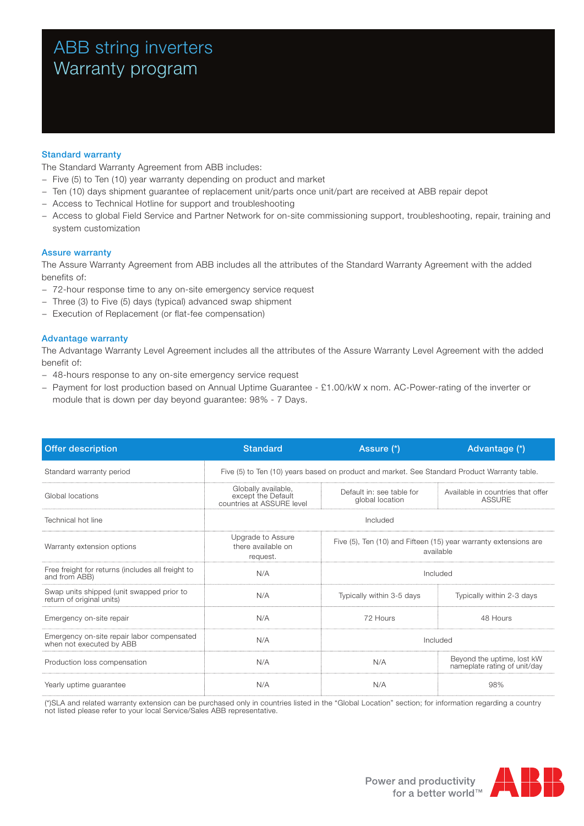# ABB string inverters Warranty program

# Standard warranty

The Standard Warranty Agreement from ABB includes:

- − Five (5) to Ten (10) year warranty depending on product and market
- − Ten (10) days shipment guarantee of replacement unit/parts once unit/part are received at ABB repair depot
- − Access to Technical Hotline for support and troubleshooting
- − Access to global Field Service and Partner Network for on-site commissioning support, troubleshooting, repair, training and system customization

### Assure warranty

The Assure Warranty Agreement from ABB includes all the attributes of the Standard Warranty Agreement with the added benefits of:

- − 72-hour response time to any on-site emergency service request
- − Three (3) to Five (5) days (typical) advanced swap shipment
- − Execution of Replacement (or flat-fee compensation)

### Advantage warranty

The Advantage Warranty Level Agreement includes all the attributes of the Assure Warranty Level Agreement with the added benefit of:

- − 48-hours response to any on-site emergency service request
- − Payment for lost production based on Annual Uptime Guarantee £1.00/kW x nom. AC-Power-rating of the inverter or module that is down per day beyond guarantee: 98% - 7 Days.

| <b>Offer description</b>                                               | <b>Standard</b>                                                                              | Assure (*)                                                                    | Advantage (*)                                              |  |
|------------------------------------------------------------------------|----------------------------------------------------------------------------------------------|-------------------------------------------------------------------------------|------------------------------------------------------------|--|
| Standard warranty period                                               | Five (5) to Ten (10) years based on product and market. See Standard Product Warranty table. |                                                                               |                                                            |  |
| Global locations                                                       | Globally available,<br>except the Default<br>countries at ASSURE level                       | Default in: see table for<br>global location                                  | Available in countries that offer<br><b>ASSURE</b>         |  |
| Technical hot line                                                     | Included                                                                                     |                                                                               |                                                            |  |
| Warranty extension options                                             | Upgrade to Assure<br>there available on<br>request.                                          | Five (5), Ten (10) and Fifteen (15) year warranty extensions are<br>available |                                                            |  |
| Free freight for returns (includes all freight to<br>and from ABB)     | N/A                                                                                          | Included                                                                      |                                                            |  |
| Swap units shipped (unit swapped prior to<br>return of original units) | N/A                                                                                          | Typically within 3-5 days                                                     | Typically within 2-3 days                                  |  |
| Emergency on-site repair                                               | N/A                                                                                          | 72 Hours                                                                      | 48 Hours                                                   |  |
| Emergency on-site repair labor compensated<br>when not executed by ABB | N/A                                                                                          | Included                                                                      |                                                            |  |
| Production loss compensation                                           | N/A                                                                                          | N/A                                                                           | Beyond the uptime, lost kW<br>nameplate rating of unit/day |  |
| Yearly uptime guarantee                                                | N/A                                                                                          | N/A                                                                           | 98%                                                        |  |

(\*)SLA and related warranty extension can be purchased only in countries listed in the "Global Location" section; for information regarding a country not listed please refer to your local Service/Sales ABB representative.

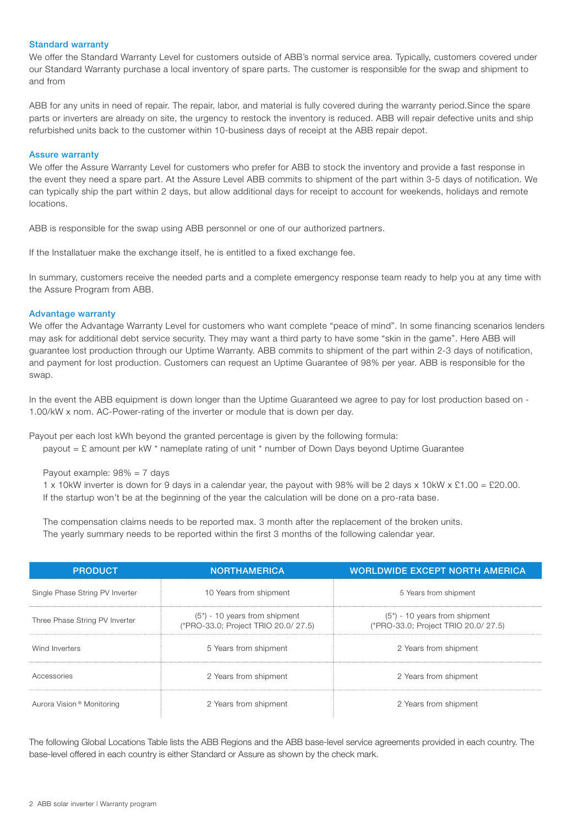#### Standard warranty

We offer the Standard Warranty Level for customers outside of ABB's normal service area. Typically, customers covered under our Standard Warranty purchase a local inventory of spare parts. The customer is responsible for the swap and shipment to and from

ABB for any units in need of repair. The repair, labor, and material is fully covered during the warranty period.Since the spare parts or inverters are already on site, the urgency to restock the inventory is reduced. ABB will repair defective units and ship refurbished units back to the customer within 10-business days of receipt at the ABB repair depot.

#### Assure warranty

We offer the Assure Warranty Level for customers who prefer for ABB to stock the inventory and provide a fast response in the event they need a spare part. At the Assure Level ABB commits to shipment of the part within 3-5 days of notification. We can typically ship the part within 2 days, but allow additional days for receipt to account for weekends, holidays and remote locations.

ABB is responsible for the swap using ABB personnel or one of our authorized partners.

If the Installatuer make the exchange itself, he is entitled to a fixed exchange fee.

In summary, customers receive the needed parts and a complete emergency response team ready to help you at any time with the Assure Program from ABB.

# Advantage warranty

We offer the Advantage Warranty Level for customers who want complete "peace of mind". In some financing scenarios lenders may ask for additional debt service security. They may want a third party to have some "skin in the game". Here ABB will guarantee lost production through our Uptime Warranty. ABB commits to shipment of the part within 2-3 days of notification, and payment for lost production. Customers can request an Uptime Guarantee of 98% per year. ABB is responsible for the swap.

In the event the ABB equipment is down longer than the Uptime Guaranteed we agree to pay for lost production based on -1.00/kW x nom. AC-Power-rating of the inverter or module that is down per day.

Payout per each lost kWh beyond the granted percentage is given by the following formula: payout = £ amount per kW \* nameplate rating of unit \* number of Down Days beyond Uptime Guarantee

Payout example: 98% = 7 days

1 x 10kW inverter is down for 9 days in a calendar year, the payout with 98% will be 2 days x 10kW x £1.00 = £20.00. If the startup won't be at the beginning of the year the calculation will be done on a pro-rata base.

The compensation claims needs to be reported max. 3 month after the replacement of the broken units. The yearly summary needs to be reported within the first 3 months of the following calendar year.

| <b>PRODUCT</b>                        | <b>NORTHAMERICA</b>                                                     | <b>WORLDWIDE EXCEPT NORTH AMERICA</b>                                   |  |
|---------------------------------------|-------------------------------------------------------------------------|-------------------------------------------------------------------------|--|
| Single Phase String PV Inverter       | 10 Years from shipment                                                  | 5 Years from shipment                                                   |  |
| Three Phase String PV Inverter        | $(5^*)$ - 10 years from shipment<br>(*PRO-33.0; Project TRIO 20.0/27.5) | $(5^*)$ - 10 years from shipment<br>(*PRO-33.0; Project TRIO 20.0/27.5) |  |
| Wind Inverters                        | 5 Years from shipment                                                   | 2 Years from shipment                                                   |  |
| Accessories                           | 2 Years from shipment                                                   | 2 Years from shipment                                                   |  |
| Aurora Vision <sup>®</sup> Monitoring | 2 Years from shipment                                                   | 2 Years from shipment                                                   |  |

The following Global Locations Table lists the ABB Regions and the ABB base-level service agreements provided in each country. The base-level offered in each country is either Standard or Assure as shown by the check mark.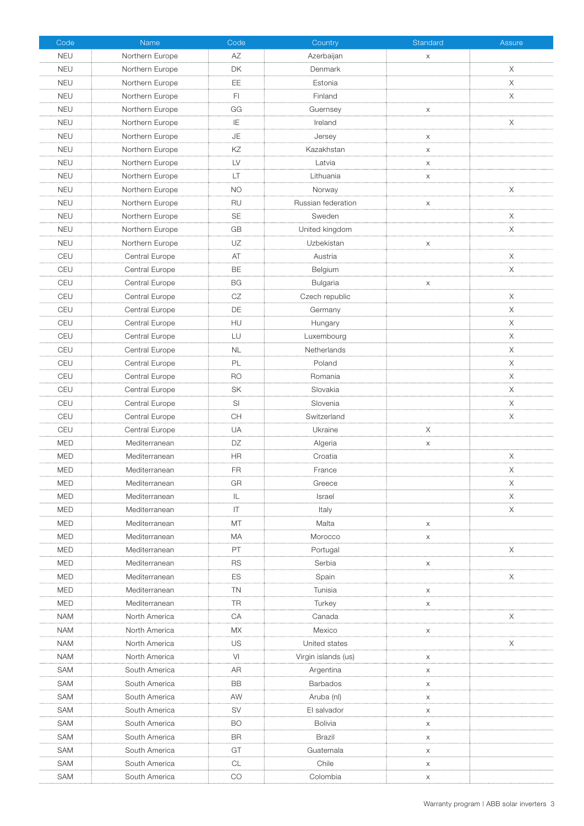| Code       | Name            | Code            | Country             | Standard                  | Assure   |
|------------|-----------------|-----------------|---------------------|---------------------------|----------|
| <b>NEU</b> | Northern Europe | AZ              | Azerbaijan          | X                         |          |
| <b>NEU</b> | Northern Europe | <b>DK</b>       | Denmark             |                           | X        |
| <b>NEU</b> | Northern Europe | EE              | Estonia             |                           | $\times$ |
| <b>NEU</b> | Northern Europe | FI.             | Finland             |                           | X        |
| <b>NEU</b> | Northern Europe | GG              | Guernsey            | X                         |          |
| <b>NEU</b> | Northern Europe | IE              | Ireland             |                           | X        |
| <b>NEU</b> | Northern Europe | JE              | Jersey              | $\boldsymbol{\mathsf{X}}$ |          |
| <b>NEU</b> | Northern Europe | ΚZ              | Kazakhstan          | $\times$                  |          |
| <b>NEU</b> | Northern Europe | LV              | Latvia              | $\boldsymbol{\mathsf{X}}$ |          |
| <b>NEU</b> | Northern Europe | LT              | Lithuania           | X                         |          |
| <b>NEU</b> | Northern Europe | <b>NO</b>       | Norway              |                           | X        |
| <b>NEU</b> | Northern Europe | RU              | Russian federation  | $\mathsf X$               |          |
| <b>NEU</b> | Northern Europe | <b>SE</b>       | Sweden              |                           | X        |
| <b>NEU</b> | Northern Europe | GB              | United kingdom      |                           | X        |
| <b>NEU</b> | Northern Europe | UZ              | Uzbekistan          | $\boldsymbol{\mathsf{X}}$ |          |
| CEU        | Central Europe  | AT              | Austria             |                           | X        |
| CEU        | Central Europe  | <b>BE</b>       | Belgium             |                           | X        |
| CEU        | Central Europe  | <b>BG</b>       | Bulgaria            | X                         |          |
| CEU        | Central Europe  | CZ              | Czech republic      |                           | Χ        |
| CEU        | Central Europe  | DE              | Germany             |                           | X        |
| CEU        | Central Europe  | HU              | Hungary             |                           | X        |
| CEU        | Central Europe  | LU              | Luxembourg          |                           | X        |
| CEU        | Central Europe  | <b>NL</b>       | Netherlands         |                           | X        |
| CEU        | Central Europe  | PL              | Poland              |                           | X        |
| CEU        | Central Europe  | <b>RO</b>       | Romania             |                           | X        |
| CEU        | Central Europe  | SK              | Slovakia            |                           | X        |
| CEU        | Central Europe  | SI              | Slovenia            |                           | X        |
| CEU        | Central Europe  | <b>CH</b>       | Switzerland         |                           | X        |
| CEU        | Central Europe  | UA              | Ukraine             | Χ                         |          |
| <b>MED</b> | Mediterranean   | DZ              | Algeria             | X                         |          |
| <b>MED</b> | Mediterranean   | HR              | Croatia             |                           | X        |
| <b>MED</b> | Mediterranean   | <b>FR</b>       | France              |                           | X        |
| <b>MED</b> | Mediterranean   | GR              | Greece              |                           | X        |
| <b>MED</b> | Mediterranean   | IL.             | Israel              |                           | X        |
| <b>MED</b> | Mediterranean   | IT              | Italy               |                           | Χ        |
| <b>MED</b> | Mediterranean   | MT              | Malta               | $\boldsymbol{\mathsf{X}}$ |          |
| <b>MED</b> | Mediterranean   | МA              | Morocco             | $\mathsf X$               |          |
| <b>MED</b> | Mediterranean   | PT              | Portugal            |                           | X        |
| <b>MED</b> | Mediterranean   | <b>RS</b>       | Serbia              | $\boldsymbol{\mathsf{X}}$ |          |
| <b>MED</b> | Mediterranean   | ES              | Spain               |                           | X        |
| <b>MED</b> | Mediterranean   | <b>TN</b>       | Tunisia             | $\boldsymbol{\mathsf{X}}$ |          |
| <b>MED</b> | Mediterranean   | <b>TR</b>       | Turkey              | X                         |          |
| <b>NAM</b> | North America   | CA              | Canada              |                           | Χ        |
| <b>NAM</b> | North America   | МX              | Mexico              | X                         |          |
| <b>NAM</b> | North America   | US              | United states       |                           | X        |
| <b>NAM</b> | North America   | VI              | Virgin islands (us) | X                         |          |
|            |                 |                 |                     |                           |          |
| SAM        | South America   | AR<br><b>BB</b> | Argentina           | X                         |          |
| SAM        | South America   |                 | <b>Barbados</b>     | X                         |          |
| SAM        | South America   | AW              | Aruba (nl)          | X                         |          |
| SAM        | South America   | <b>SV</b>       | El salvador         | $\boldsymbol{\mathsf{X}}$ |          |
| SAM        | South America   | BO.             | <b>Bolivia</b>      | X                         |          |
| SAM        | South America   | BR              | Brazil              | $\mathsf X$               |          |
| <b>SAM</b> | South America   | GT              | Guatemala           | X                         |          |
| SAM        | South America   | <b>CL</b>       | Chile               | $\boldsymbol{\mathsf{X}}$ |          |
| <b>SAM</b> | South America   | CO              | Colombia            | X                         |          |